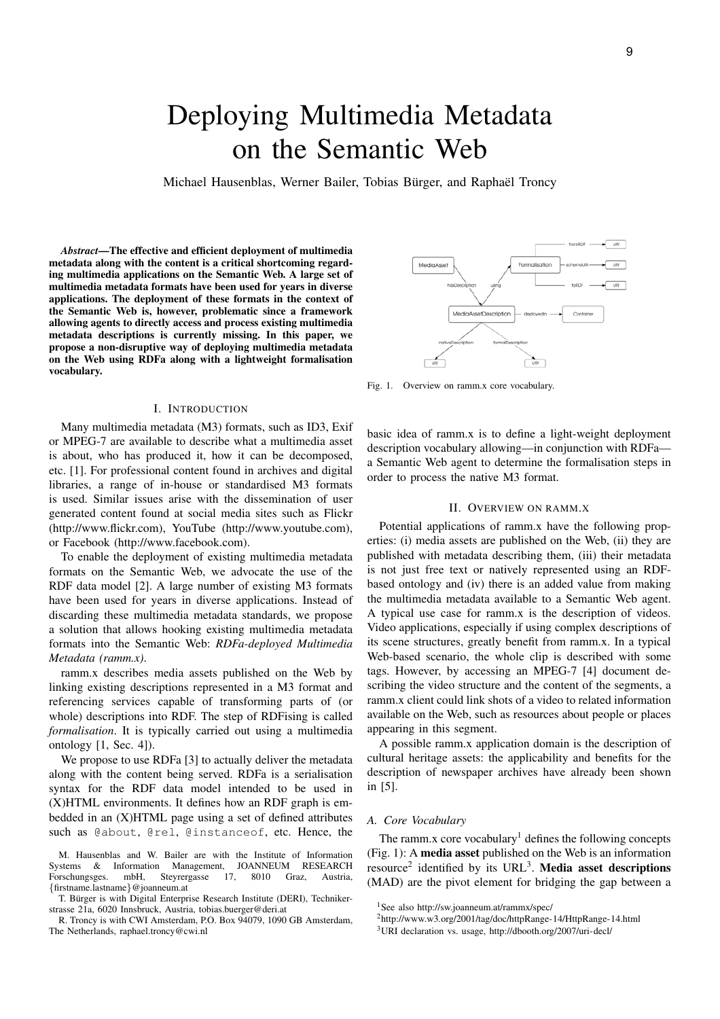# Deploying Multimedia Metadata on the Semantic Web

Michael Hausenblas, Werner Bailer, Tobias Bürger, and Raphaël Troncy

*Abstract*—The effective and efficient deployment of multimedia metadata along with the content is a critical shortcoming regarding multimedia applications on the Semantic Web. A large set of multimedia metadata formats have been used for years in diverse applications. The deployment of these formats in the context of the Semantic Web is, however, problematic since a framework allowing agents to directly access and process existing multimedia metadata descriptions is currently missing. In this paper, we propose a non-disruptive way of deploying multimedia metadata on the Web using RDFa along with a lightweight formalisation vocabulary.

#### I. INTRODUCTION

Many multimedia metadata (M3) formats, such as ID3, Exif or MPEG-7 are available to describe what a multimedia asset is about, who has produced it, how it can be decomposed, etc. [1]. For professional content found in archives and digital libraries, a range of in-house or standardised M3 formats is used. Similar issues arise with the dissemination of user generated content found at social media sites such as Flickr (http://www.flickr.com), YouTube (http://www.youtube.com), or Facebook (http://www.facebook.com).

To enable the deployment of existing multimedia metadata formats on the Semantic Web, we advocate the use of the RDF data model [2]. A large number of existing M3 formats have been used for years in diverse applications. Instead of discarding these multimedia metadata standards, we propose a solution that allows hooking existing multimedia metadata formats into the Semantic Web: *RDFa-deployed Multimedia Metadata (ramm.x)*.

ramm.x describes media assets published on the Web by linking existing descriptions represented in a M3 format and referencing services capable of transforming parts of (or whole) descriptions into RDF. The step of RDFising is called *formalisation*. It is typically carried out using a multimedia ontology [1, Sec. 4]).

We propose to use RDFa [3] to actually deliver the metadata along with the content being served. RDFa is a serialisation syntax for the RDF data model intended to be used in (X)HTML environments. It defines how an RDF graph is embedded in an (X)HTML page using a set of defined attributes such as @about, @rel, @instanceof, etc. Hence, the

MediaAs Formalisation MediaAssetDescription

Fig. 1. Overview on ramm.x core vocabulary.

basic idea of ramm.x is to define a light-weight deployment description vocabulary allowing—in conjunction with RDFa a Semantic Web agent to determine the formalisation steps in order to process the native M3 format.

## II. OVERVIEW ON RAMM.X

Potential applications of ramm.x have the following properties: (i) media assets are published on the Web, (ii) they are published with metadata describing them, (iii) their metadata is not just free text or natively represented using an RDFbased ontology and (iv) there is an added value from making the multimedia metadata available to a Semantic Web agent. A typical use case for ramm.x is the description of videos. Video applications, especially if using complex descriptions of its scene structures, greatly benefit from ramm.x. In a typical Web-based scenario, the whole clip is described with some tags. However, by accessing an MPEG-7 [4] document describing the video structure and the content of the segments, a ramm.x client could link shots of a video to related information available on the Web, such as resources about people or places appearing in this segment.

A possible ramm.x application domain is the description of cultural heritage assets: the applicability and benefits for the description of newspaper archives have already been shown in [5].

#### *A. Core Vocabulary*

The ramm.x core vocabulary<sup>1</sup> defines the following concepts (Fig. 1): A media asset published on the Web is an information resource<sup>2</sup> identified by its URL<sup>3</sup>. Media asset descriptions (MAD) are the pivot element for bridging the gap between a

M. Hausenblas and W. Bailer are with the Institute of Information Systems & Information Management, JOANNEUM RESEARCH Forschungsges. mbH, Steyrergasse 17, 8010 Graz, Austria, {firstname.lastname}@joanneum.at

T. Bürger is with Digital Enterprise Research Institute (DERI), Technikerstrasse 21a, 6020 Innsbruck, Austria, tobias.buerger@deri.at

R. Troncy is with CWI Amsterdam, P.O. Box 94079, 1090 GB Amsterdam, The Netherlands, raphael.troncy@cwi.nl

<sup>1</sup>See also http://sw.joanneum.at/rammx/spec/

<sup>2</sup>http://www.w3.org/2001/tag/doc/httpRange-14/HttpRange-14.html

<sup>3</sup>URI declaration vs. usage, http://dbooth.org/2007/uri-decl/